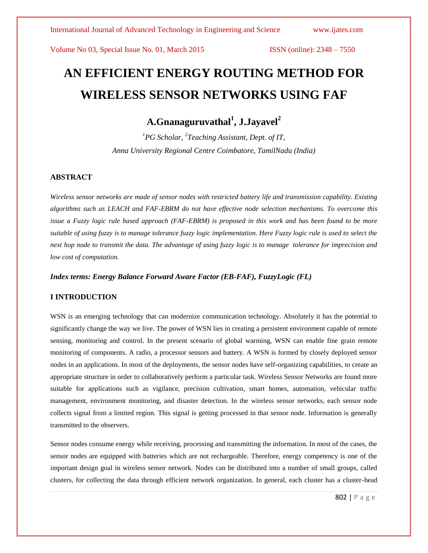# **AN EFFICIENT ENERGY ROUTING METHOD FOR WIRELESS SENSOR NETWORKS USING FAF**

## **A.Gnanaguruvathal<sup>1</sup> , J.Jayavel<sup>2</sup>**

*<sup>1</sup>PG Scholar, 2 Teaching Assistant, Dept. of IT, Anna University Regional Centre Coimbatore, TamilNadu (India)*

#### **ABSTRACT**

*Wireless sensor networks are made of sensor nodes with restricted battery life and transmission capability. Existing algorithms such as LEACH and FAF-EBRM do not have effective node selection mechanisms. To overcome this issue a Fuzzy logic rule based approach (FAF-EBRM) is proposed in this work and has been found to be more suitable of using fuzzy is to manage tolerance fuzzy logic implementation. Here Fuzzy logic rule is used to select the next hop node to transmit the data. The advantage of using fuzzy logic is to manage tolerance for imprecision and low cost of computation.*

#### *Index terms: Energy Balance Forward Aware Factor (EB-FAF), FuzzyLogic (FL)*

#### **I INTRODUCTION**

WSN is an emerging technology that can modernize communication technology. Absolutely it has the potential to significantly change the way we live. The power of WSN lies in creating a persistent environment capable of remote sensing, monitoring and control. In the present scenario of global warming, WSN can enable fine grain remote monitoring of components. A radio, a processor sensors and battery. A WSN is formed by closely deployed sensor nodes in an applications. In most of the deployments, the sensor nodes have self-organizing capabilities, to create an appropriate structure in order to collaboratively perform a particular task. Wireless Sensor Networks are found more suitable for applications such as vigilance, precision cultivation, smart homes, automation, vehicular traffic management, environment monitoring, and disaster detection. In the wireless sensor networks, each sensor node collects signal from a limited region. This signal is getting processed in that sensor node. Information is generally transmitted to the observers.

Sensor nodes consume energy while receiving, processing and transmitting the information. In most of the cases, the sensor nodes are equipped with batteries which are not rechargeable. Therefore, energy competency is one of the important design goal in wireless sensor network. Nodes can be distributed into a number of small groups, called clusters, for collecting the data through efficient network organization. In general, each cluster has a cluster-head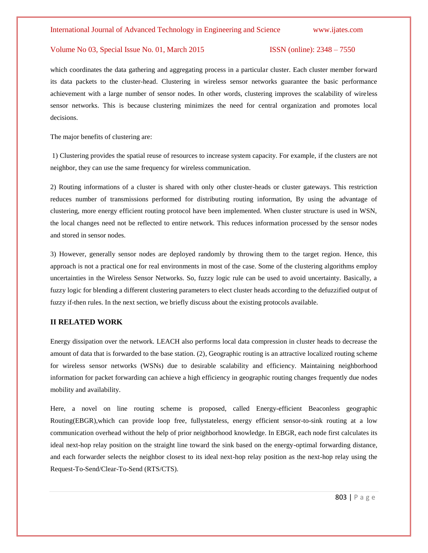which coordinates the data gathering and aggregating process in a particular cluster. Each cluster member forward its data packets to the cluster-head. Clustering in wireless sensor networks guarantee the basic performance achievement with a large number of sensor nodes. In other words, clustering improves the scalability of wireless sensor networks. This is because clustering minimizes the need for central organization and promotes local decisions.

The major benefits of clustering are:

1) Clustering provides the spatial reuse of resources to increase system capacity. For example, if the clusters are not neighbor, they can use the same frequency for wireless communication.

2) Routing informations of a cluster is shared with only other cluster-heads or cluster gateways. This restriction reduces number of transmissions performed for distributing routing information, By using the advantage of clustering, more energy efficient routing protocol have been implemented. When cluster structure is used in WSN, the local changes need not be reflected to entire network. This reduces information processed by the sensor nodes and stored in sensor nodes.

3) However, generally sensor nodes are deployed randomly by throwing them to the target region. Hence, this approach is not a practical one for real environments in most of the case. Some of the clustering algorithms employ uncertainties in the Wireless Sensor Networks. So, fuzzy logic rule can be used to avoid uncertainty. Basically, a fuzzy logic for blending a different clustering parameters to elect cluster heads according to the defuzzified output of fuzzy if-then rules. In the next section, we briefly discuss about the existing protocols available.

#### **II RELATED WORK**

Energy dissipation over the network. LEACH also performs local data compression in cluster heads to decrease the amount of data that is forwarded to the base station. (2), Geographic routing is an attractive localized routing scheme for wireless sensor networks (WSNs) due to desirable scalability and efficiency. Maintaining neighborhood information for packet forwarding can achieve a high efficiency in geographic routing changes frequently due nodes mobility and availability.

Here, a novel on line routing scheme is proposed, called Energy-efficient Beaconless geographic Routing(EBGR),which can provide loop free, fullystateless, energy efficient sensor-to-sink routing at a low communication overhead without the help of prior neighborhood knowledge. In EBGR, each node first calculates its ideal next-hop relay position on the straight line toward the sink based on the energy-optimal forwarding distance, and each forwarder selects the neighbor closest to its ideal next-hop relay position as the next-hop relay using the Request-To-Send/Clear-To-Send (RTS/CTS).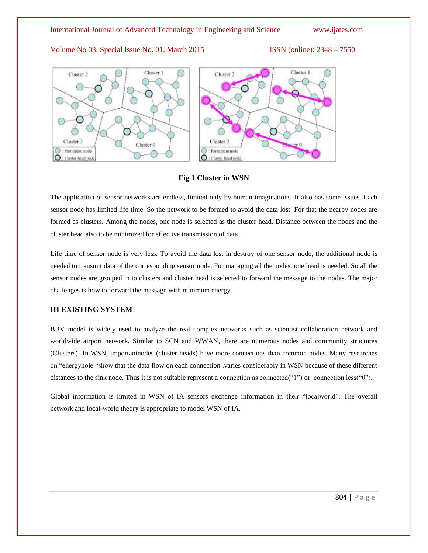

#### **Fig 1 Cluster in WSN**

The application of sensor networks are endless, limited only by human imaginations. It also has some issues. Each sensor node has limited life time. So the network to be formed to avoid the data lost. For that the nearby nodes are formed as clusters. Among the nodes, one node is selected as the cluster head. Distance between the nodes and the cluster head also to be minimized for effective transmission of data.

Life time of sensor node is very less. To avoid the data lost in destroy of one sensor node, the additional node is needed to transmit data of the corresponding sensor node. For managing all the nodes, one head is needed. So all the sensor nodes are grouped in to clusters and cluster head is selected to forward the message to the nodes. The major challenges is how to forward the message with minimum energy.

#### **III EXISTING SYSTEM**

BBV model is widely used to analyze the real complex networks such as scientist collaboration network and worldwide airport network. Similar to SCN and WWAN, there are numerous nodes and community structures (Clusters) In WSN, importantnodes (cluster heads) have more connections than common nodes. Many researches on "energyhole "show that the data flow on each connection .varies considerably in WSN because of these different distances to the sink node. Thus it is not suitable represent a connection as connected("1") or connection less("0").

Global information is limited in WSN of IA sensors exchange information in their "localworld". The overall network and local-world theory is appropriate to model WSN of IA.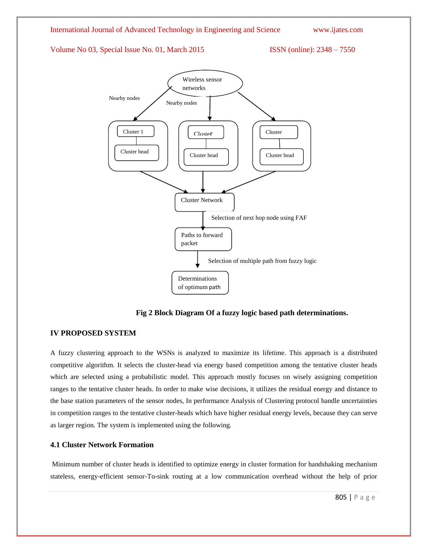

**Fig 2 Block Diagram Of a fuzzy logic based path determinations.**

#### **IV PROPOSED SYSTEM**

A fuzzy clustering approach to the WSNs is analyzed to maximize its lifetime. This approach is a distributed competitive algorithm. It selects the cluster-head via energy based competition among the tentative cluster heads which are selected using a probabilistic model. This approach mostly focuses on wisely assigning competition ranges to the tentative cluster heads. In order to make wise decisions, it utilizes the residual energy and distance to the base station parameters of the sensor nodes, In performance Analysis of Clustering protocol handle uncertainties in competition ranges to the tentative cluster-heads which have higher residual energy levels, because they can serve as larger region. The system is implemented using the following.

#### **4.1 Cluster Network Formation**

Minimum number of cluster heads is identified to optimize energy in cluster formation for handshaking mechanism stateless, energy-efficient sensor-To-sink routing at a low communication overhead without the help of prior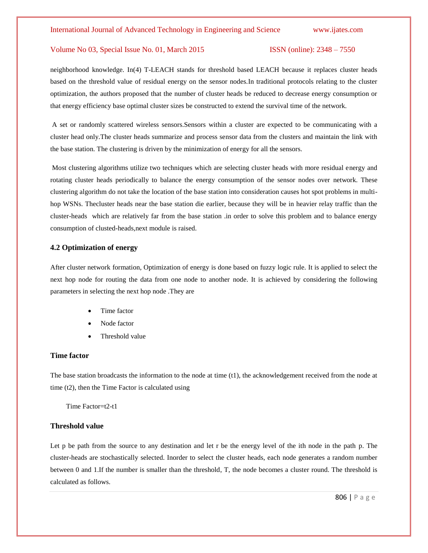neighborhood knowledge. In(4) T-LEACH stands for threshold based LEACH because it replaces cluster heads based on the threshold value of residual energy on the sensor nodes.In traditional protocols relating to the cluster optimization, the authors proposed that the number of cluster heads be reduced to decrease energy consumption or that energy efficiency base optimal cluster sizes be constructed to extend the survival time of the network.

A set or randomly scattered wireless sensors.Sensors within a cluster are expected to be communicating with a cluster head only.The cluster heads summarize and process sensor data from the clusters and maintain the link with the base station. The clustering is driven by the minimization of energy for all the sensors.

Most clustering algorithms utilize two techniques which are selecting cluster heads with more residual energy and rotating cluster heads periodically to balance the energy consumption of the sensor nodes over network. These clustering algorithm do not take the location of the base station into consideration causes hot spot problems in multihop WSNs. Thecluster heads near the base station die earlier, because they will be in heavier relay traffic than the cluster-heads which are relatively far from the base station .in order to solve this problem and to balance energy consumption of clusted-heads,next module is raised.

#### **4.2 Optimization of energy**

After cluster network formation, Optimization of energy is done based on fuzzy logic rule. It is applied to select the next hop node for routing the data from one node to another node. It is achieved by considering the following parameters in selecting the next hop node .They are

- Time factor
- Node factor
- Threshold value

#### **Time factor**

The base station broadcasts the information to the node at time (t1), the acknowledgement received from the node at time (t2), then the Time Factor is calculated using

Time Factor=t2-t1

#### **Threshold value**

Let p be path from the source to any destination and let r be the energy level of the ith node in the path p. The cluster-heads are stochastically selected. Inorder to select the cluster heads, each node generates a random number between 0 and 1.If the number is smaller than the threshold, T, the node becomes a cluster round. The threshold is calculated as follows.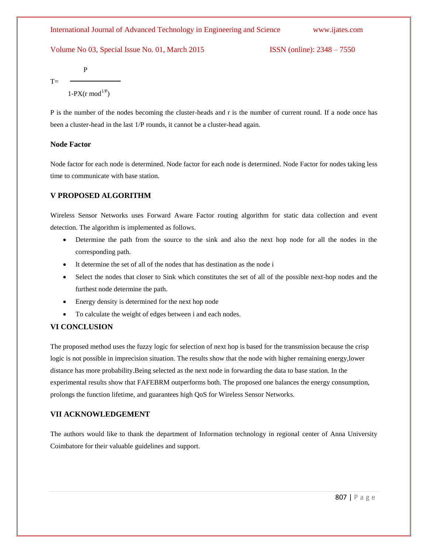P  $T=$ 

 $1-PX(r \mod 1/P)$ 

P is the number of the nodes becoming the cluster-heads and r is the number of current round. If a node once has been a cluster-head in the last 1/P rounds, it cannot be a cluster-head again.

#### **Node Factor**

Node factor for each node is determined. Node factor for each node is determined. Node Factor for nodes taking less time to communicate with base station.

#### **V PROPOSED ALGORITHM**

Wireless Sensor Networks uses Forward Aware Factor routing algorithm for static data collection and event detection. The algorithm is implemented as follows.

- Determine the path from the source to the sink and also the next hop node for all the nodes in the corresponding path.
- It determine the set of all of the nodes that has destination as the node i
- Select the nodes that closer to Sink which constitutes the set of all of the possible next-hop nodes and the furthest node determine the path.
- Energy density is determined for the next hop node
- To calculate the weight of edges between i and each nodes.

### **VI CONCLUSION**

The proposed method uses the fuzzy logic for selection of next hop is based for the transmission because the crisp logic is not possible in imprecision situation. The results show that the node with higher remaining energy,lower distance has more probability.Being selected as the next node in forwarding the data to base station. In the experimental results show that FAFEBRM outperforms both. The proposed one balances the energy consumption, prolongs the function lifetime, and guarantees high QoS for Wireless Sensor Networks.

### **VII ACKNOWLEDGEMENT**

The authors would like to thank the department of Information technology in regional center of Anna University Coimbatore for their valuable guidelines and support.